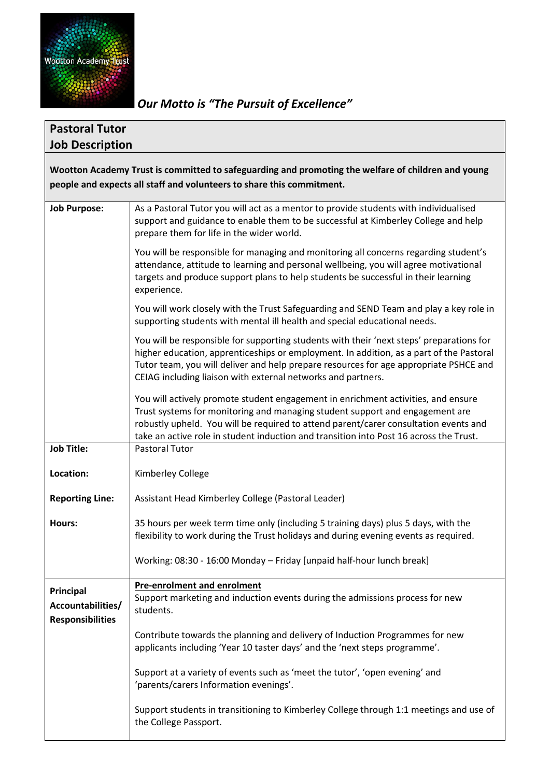

*Our Motto is "The Pursuit of Excellence"*

| <b>Pastoral Tutor</b>                                                                              |                                                                                                                                                                                                                                                                                                                                                     |  |  |  |
|----------------------------------------------------------------------------------------------------|-----------------------------------------------------------------------------------------------------------------------------------------------------------------------------------------------------------------------------------------------------------------------------------------------------------------------------------------------------|--|--|--|
| <b>Job Description</b>                                                                             |                                                                                                                                                                                                                                                                                                                                                     |  |  |  |
| Wootton Academy Trust is committed to safeguarding and promoting the welfare of children and young |                                                                                                                                                                                                                                                                                                                                                     |  |  |  |
| people and expects all staff and volunteers to share this commitment.                              |                                                                                                                                                                                                                                                                                                                                                     |  |  |  |
| <b>Job Purpose:</b>                                                                                | As a Pastoral Tutor you will act as a mentor to provide students with individualised<br>support and guidance to enable them to be successful at Kimberley College and help<br>prepare them for life in the wider world.                                                                                                                             |  |  |  |
|                                                                                                    | You will be responsible for managing and monitoring all concerns regarding student's<br>attendance, attitude to learning and personal wellbeing, you will agree motivational<br>targets and produce support plans to help students be successful in their learning<br>experience.                                                                   |  |  |  |
|                                                                                                    | You will work closely with the Trust Safeguarding and SEND Team and play a key role in<br>supporting students with mental ill health and special educational needs.                                                                                                                                                                                 |  |  |  |
|                                                                                                    | You will be responsible for supporting students with their 'next steps' preparations for<br>higher education, apprenticeships or employment. In addition, as a part of the Pastoral<br>Tutor team, you will deliver and help prepare resources for age appropriate PSHCE and<br>CEIAG including liaison with external networks and partners.        |  |  |  |
|                                                                                                    | You will actively promote student engagement in enrichment activities, and ensure<br>Trust systems for monitoring and managing student support and engagement are<br>robustly upheld. You will be required to attend parent/carer consultation events and<br>take an active role in student induction and transition into Post 16 across the Trust. |  |  |  |
| <b>Job Title:</b>                                                                                  | <b>Pastoral Tutor</b>                                                                                                                                                                                                                                                                                                                               |  |  |  |
| Location:                                                                                          | Kimberley College                                                                                                                                                                                                                                                                                                                                   |  |  |  |
| <b>Reporting Line:</b>                                                                             | Assistant Head Kimberley College (Pastoral Leader)                                                                                                                                                                                                                                                                                                  |  |  |  |
| Hours:                                                                                             | 35 hours per week term time only (including 5 training days) plus 5 days, with the<br>flexibility to work during the Trust holidays and during evening events as required.                                                                                                                                                                          |  |  |  |
|                                                                                                    | Working: 08:30 - 16:00 Monday - Friday [unpaid half-hour lunch break]                                                                                                                                                                                                                                                                               |  |  |  |
|                                                                                                    | <b>Pre-enrolment and enrolment</b>                                                                                                                                                                                                                                                                                                                  |  |  |  |
| Principal<br>Accountabilities/<br><b>Responsibilities</b>                                          | Support marketing and induction events during the admissions process for new<br>students.                                                                                                                                                                                                                                                           |  |  |  |
|                                                                                                    | Contribute towards the planning and delivery of Induction Programmes for new<br>applicants including 'Year 10 taster days' and the 'next steps programme'.                                                                                                                                                                                          |  |  |  |
|                                                                                                    | Support at a variety of events such as 'meet the tutor', 'open evening' and<br>'parents/carers Information evenings'.                                                                                                                                                                                                                               |  |  |  |
|                                                                                                    | Support students in transitioning to Kimberley College through 1:1 meetings and use of<br>the College Passport.                                                                                                                                                                                                                                     |  |  |  |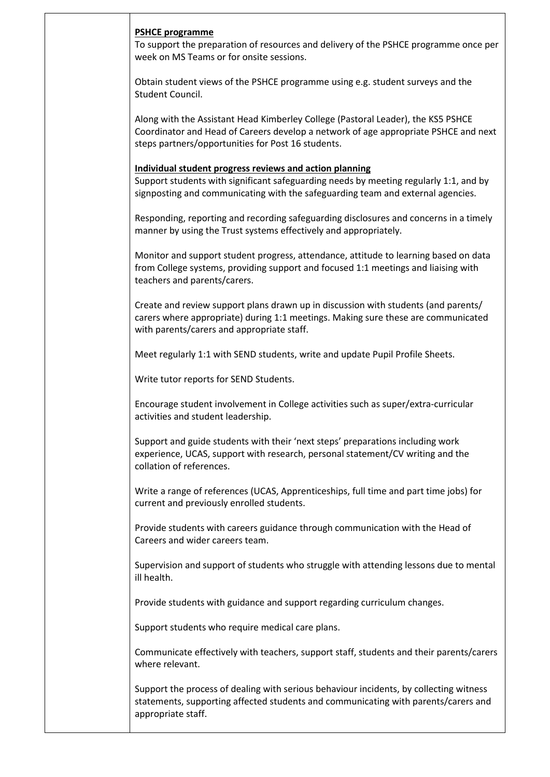## **PSHCE programme**

To support the preparation of resources and delivery of the PSHCE programme once per week on MS Teams or for onsite sessions.

Obtain student views of the PSHCE programme using e.g. student surveys and the Student Council.

Along with the Assistant Head Kimberley College (Pastoral Leader), the KS5 PSHCE Coordinator and Head of Careers develop a network of age appropriate PSHCE and next steps partners/opportunities for Post 16 students.

## **Individual student progress reviews and action planning**

Support students with significant safeguarding needs by meeting regularly 1:1, and by signposting and communicating with the safeguarding team and external agencies.

Responding, reporting and recording safeguarding disclosures and concerns in a timely manner by using the Trust systems effectively and appropriately.

Monitor and support student progress, attendance, attitude to learning based on data from College systems, providing support and focused 1:1 meetings and liaising with teachers and parents/carers.

Create and review support plans drawn up in discussion with students (and parents/ carers where appropriate) during 1:1 meetings. Making sure these are communicated with parents/carers and appropriate staff.

Meet regularly 1:1 with SEND students, write and update Pupil Profile Sheets.

Write tutor reports for SEND Students.

Encourage student involvement in College activities such as super/extra-curricular activities and student leadership.

Support and guide students with their 'next steps' preparations including work experience, UCAS, support with research, personal statement/CV writing and the collation of references.

Write a range of references (UCAS, Apprenticeships, full time and part time jobs) for current and previously enrolled students.

Provide students with careers guidance through communication with the Head of Careers and wider careers team.

Supervision and support of students who struggle with attending lessons due to mental ill health.

Provide students with guidance and support regarding curriculum changes.

Support students who require medical care plans.

Communicate effectively with teachers, support staff, students and their parents/carers where relevant.

Support the process of dealing with serious behaviour incidents, by collecting witness statements, supporting affected students and communicating with parents/carers and appropriate staff.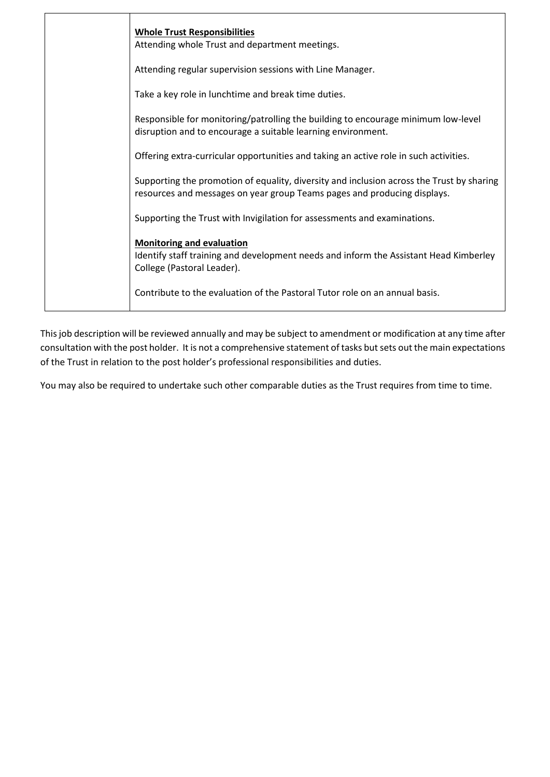| <b>Whole Trust Responsibilities</b><br>Attending whole Trust and department meetings.                                                                                 |
|-----------------------------------------------------------------------------------------------------------------------------------------------------------------------|
| Attending regular supervision sessions with Line Manager.                                                                                                             |
| Take a key role in lunchtime and break time duties.                                                                                                                   |
| Responsible for monitoring/patrolling the building to encourage minimum low-level<br>disruption and to encourage a suitable learning environment.                     |
| Offering extra-curricular opportunities and taking an active role in such activities.                                                                                 |
| Supporting the promotion of equality, diversity and inclusion across the Trust by sharing<br>resources and messages on year group Teams pages and producing displays. |
| Supporting the Trust with Invigilation for assessments and examinations.                                                                                              |
| <b>Monitoring and evaluation</b><br>Identify staff training and development needs and inform the Assistant Head Kimberley<br>College (Pastoral Leader).               |
| Contribute to the evaluation of the Pastoral Tutor role on an annual basis.                                                                                           |
|                                                                                                                                                                       |

This job description will be reviewed annually and may be subject to amendment or modification at any time after consultation with the post holder. It is not a comprehensive statement of tasks but sets out the main expectations of the Trust in relation to the post holder's professional responsibilities and duties.

You may also be required to undertake such other comparable duties as the Trust requires from time to time.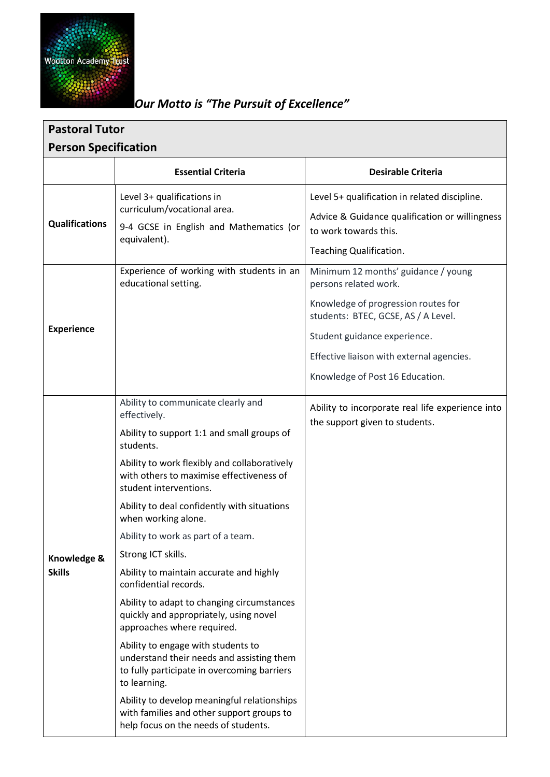

## *Our Motto is "The Pursuit of Excellence"*

| <b>Pastoral Tutor</b>        |                                                                                                                                                                                                                                                                                                                                                                                                                                                                                                                                                                                                                                                                                                                                                                                                                                                       |                                                                                                                                                                                                                                                            |  |  |
|------------------------------|-------------------------------------------------------------------------------------------------------------------------------------------------------------------------------------------------------------------------------------------------------------------------------------------------------------------------------------------------------------------------------------------------------------------------------------------------------------------------------------------------------------------------------------------------------------------------------------------------------------------------------------------------------------------------------------------------------------------------------------------------------------------------------------------------------------------------------------------------------|------------------------------------------------------------------------------------------------------------------------------------------------------------------------------------------------------------------------------------------------------------|--|--|
| <b>Person Specification</b>  |                                                                                                                                                                                                                                                                                                                                                                                                                                                                                                                                                                                                                                                                                                                                                                                                                                                       |                                                                                                                                                                                                                                                            |  |  |
|                              | <b>Essential Criteria</b>                                                                                                                                                                                                                                                                                                                                                                                                                                                                                                                                                                                                                                                                                                                                                                                                                             | <b>Desirable Criteria</b>                                                                                                                                                                                                                                  |  |  |
| <b>Qualifications</b>        | Level 3+ qualifications in<br>curriculum/vocational area.<br>9-4 GCSE in English and Mathematics (or<br>equivalent).                                                                                                                                                                                                                                                                                                                                                                                                                                                                                                                                                                                                                                                                                                                                  | Level 5+ qualification in related discipline.<br>Advice & Guidance qualification or willingness<br>to work towards this.<br>Teaching Qualification.                                                                                                        |  |  |
| <b>Experience</b>            | Experience of working with students in an<br>educational setting.                                                                                                                                                                                                                                                                                                                                                                                                                                                                                                                                                                                                                                                                                                                                                                                     | Minimum 12 months' guidance / young<br>persons related work.<br>Knowledge of progression routes for<br>students: BTEC, GCSE, AS / A Level.<br>Student guidance experience.<br>Effective liaison with external agencies.<br>Knowledge of Post 16 Education. |  |  |
| Knowledge &<br><b>Skills</b> | Ability to communicate clearly and<br>effectively.<br>Ability to support 1:1 and small groups of<br>students.<br>Ability to work flexibly and collaboratively<br>with others to maximise effectiveness of<br>student interventions.<br>Ability to deal confidently with situations<br>when working alone.<br>Ability to work as part of a team.<br>Strong ICT skills.<br>Ability to maintain accurate and highly<br>confidential records.<br>Ability to adapt to changing circumstances<br>quickly and appropriately, using novel<br>approaches where required.<br>Ability to engage with students to<br>understand their needs and assisting them<br>to fully participate in overcoming barriers<br>to learning.<br>Ability to develop meaningful relationships<br>with families and other support groups to<br>help focus on the needs of students. | Ability to incorporate real life experience into<br>the support given to students.                                                                                                                                                                         |  |  |